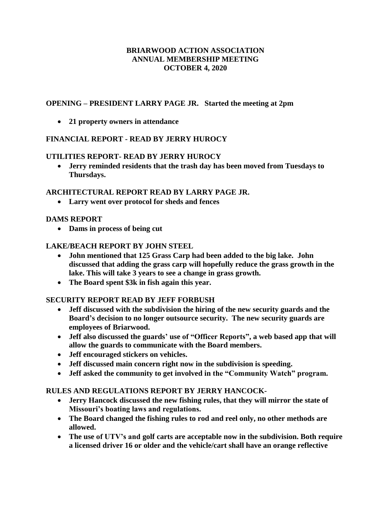### **BRIARWOOD ACTION ASSOCIATION ANNUAL MEMBERSHIP MEETING OCTOBER 4, 2020**

### **OPENING – PRESIDENT LARRY PAGE JR. Started the meeting at 2pm**

**21 property owners in attendance**

# **FINANCIAL REPORT - READ BY JERRY HUROCY**

### **UTILITIES REPORT- READ BY JERRY HUROCY**

 **Jerry reminded residents that the trash day has been moved from Tuesdays to Thursdays.**

### **ARCHITECTURAL REPORT READ BY LARRY PAGE JR.**

**Larry went over protocol for sheds and fences**

## **DAMS REPORT**

**Dams in process of being cut**

### **LAKE/BEACH REPORT BY JOHN STEEL**

- **John mentioned that 125 Grass Carp had been added to the big lake. John discussed that adding the grass carp will hopefully reduce the grass growth in the lake. This will take 3 years to see a change in grass growth.**
- **The Board spent \$3k in fish again this year.**

# **SECURITY REPORT READ BY JEFF FORBUSH**

- **Jeff discussed with the subdivision the hiring of the new security guards and the Board's decision to no longer outsource security. The new security guards are employees of Briarwood.**
- **Jeff also discussed the guards' use of "Officer Reports", a web based app that will allow the guards to communicate with the Board members.**
- **Jeff encouraged stickers on vehicles.**
- **Jeff discussed main concern right now in the subdivision is speeding.**
- **Jeff asked the community to get involved in the "Community Watch" program.**

### **RULES AND REGULATIONS REPORT BY JERRY HANCOCK-**

- **Jerry Hancock discussed the new fishing rules, that they will mirror the state of Missouri's boating laws and regulations.**
- **The Board changed the fishing rules to rod and reel only, no other methods are allowed.**
- **The use of UTV's and golf carts are acceptable now in the subdivision. Both require a licensed driver 16 or older and the vehicle/cart shall have an orange reflective**